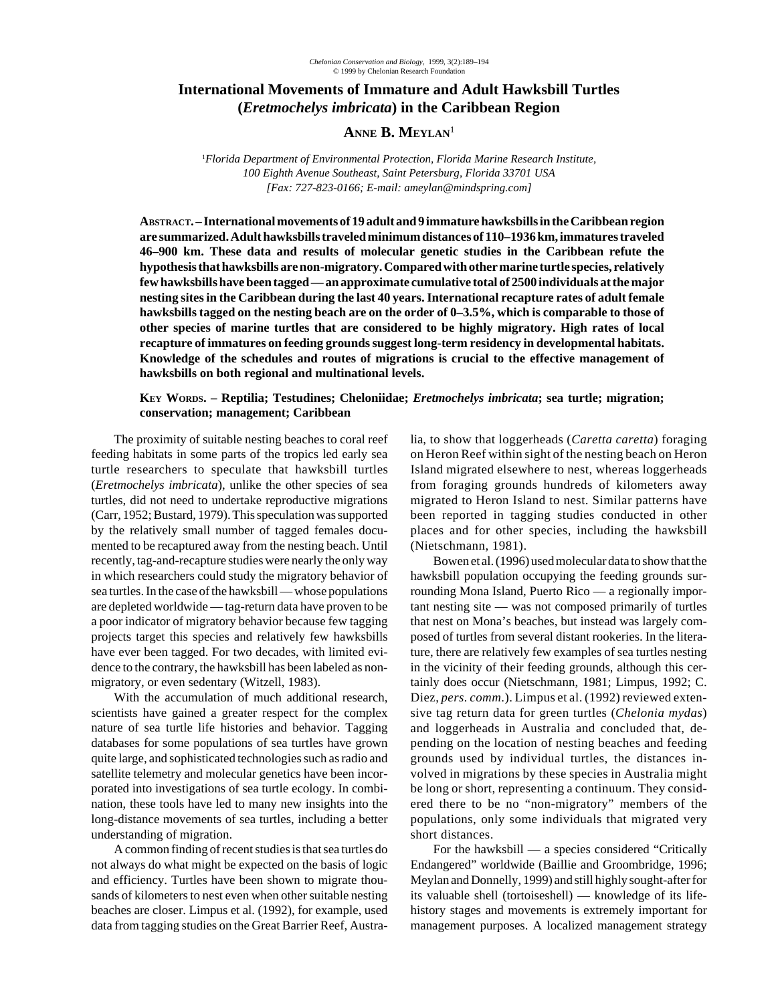# **International Movements of Immature and Adult Hawksbill Turtles (***Eretmochelys imbricata***) in the Caribbean Region**

# ANNE **B.** MEYLAN<sup>1</sup>

1 *Florida Department of Environmental Protection, Florida Marine Research Institute, 100 Eighth Avenue Southeast, Saint Petersburg, Florida 33701 USA [Fax: 727-823-0166; E-mail: ameylan@mindspring.com]*

**ABSTRACT. – International movements of 19 adult and 9 immature hawksbills in the Caribbean region are summarized. Adult hawksbills traveled minimum distances of 110–1936 km, immatures traveled 46–900 km. These data and results of molecular genetic studies in the Caribbean refute the hypothesis that hawksbills are non-migratory. Compared with other marine turtle species, relatively few hawksbills have been tagged — an approximate cumulative total of 2500 individuals at the major nesting sites in the Caribbean during the last 40 years. International recapture rates of adult female hawksbills tagged on the nesting beach are on the order of 0–3.5%, which is comparable to those of other species of marine turtles that are considered to be highly migratory. High rates of local recapture of immatures on feeding grounds suggest long-term residency in developmental habitats. Knowledge of the schedules and routes of migrations is crucial to the effective management of hawksbills on both regional and multinational levels.**

## **KEY WORDS. – Reptilia; Testudines; Cheloniidae;** *Eretmochelys imbricata***; sea turtle; migration; conservation; management; Caribbean**

The proximity of suitable nesting beaches to coral reef feeding habitats in some parts of the tropics led early sea turtle researchers to speculate that hawksbill turtles (*Eretmochelys imbricata*), unlike the other species of sea turtles, did not need to undertake reproductive migrations (Carr, 1952; Bustard, 1979). This speculation was supported by the relatively small number of tagged females documented to be recaptured away from the nesting beach. Until recently, tag-and-recapture studies were nearly the only way in which researchers could study the migratory behavior of sea turtles. In the case of the hawksbill — whose populations are depleted worldwide — tag-return data have proven to be a poor indicator of migratory behavior because few tagging projects target this species and relatively few hawksbills have ever been tagged. For two decades, with limited evidence to the contrary, the hawksbill has been labeled as nonmigratory, or even sedentary (Witzell, 1983).

With the accumulation of much additional research, scientists have gained a greater respect for the complex nature of sea turtle life histories and behavior. Tagging databases for some populations of sea turtles have grown quite large, and sophisticated technologies such as radio and satellite telemetry and molecular genetics have been incorporated into investigations of sea turtle ecology. In combination, these tools have led to many new insights into the long-distance movements of sea turtles, including a better understanding of migration.

A common finding of recent studies is that sea turtles do not always do what might be expected on the basis of logic and efficiency. Turtles have been shown to migrate thousands of kilometers to nest even when other suitable nesting beaches are closer. Limpus et al. (1992), for example, used data from tagging studies on the Great Barrier Reef, Australia, to show that loggerheads (*Caretta caretta*) foraging on Heron Reef within sight of the nesting beach on Heron Island migrated elsewhere to nest, whereas loggerheads from foraging grounds hundreds of kilometers away migrated to Heron Island to nest. Similar patterns have been reported in tagging studies conducted in other places and for other species, including the hawksbill (Nietschmann, 1981).

Bowen et al. (1996) used molecular data to show that the hawksbill population occupying the feeding grounds surrounding Mona Island, Puerto Rico — a regionally important nesting site — was not composed primarily of turtles that nest on Mona's beaches, but instead was largely composed of turtles from several distant rookeries. In the literature, there are relatively few examples of sea turtles nesting in the vicinity of their feeding grounds, although this certainly does occur (Nietschmann, 1981; Limpus, 1992; C. Diez, *pers. comm*.). Limpus et al. (1992) reviewed extensive tag return data for green turtles (*Chelonia mydas*) and loggerheads in Australia and concluded that, depending on the location of nesting beaches and feeding grounds used by individual turtles, the distances involved in migrations by these species in Australia might be long or short, representing a continuum. They considered there to be no "non-migratory" members of the populations, only some individuals that migrated very short distances.

For the hawksbill — a species considered "Critically Endangered" worldwide (Baillie and Groombridge, 1996; Meylan and Donnelly, 1999) and still highly sought-after for its valuable shell (tortoiseshell) — knowledge of its lifehistory stages and movements is extremely important for management purposes. A localized management strategy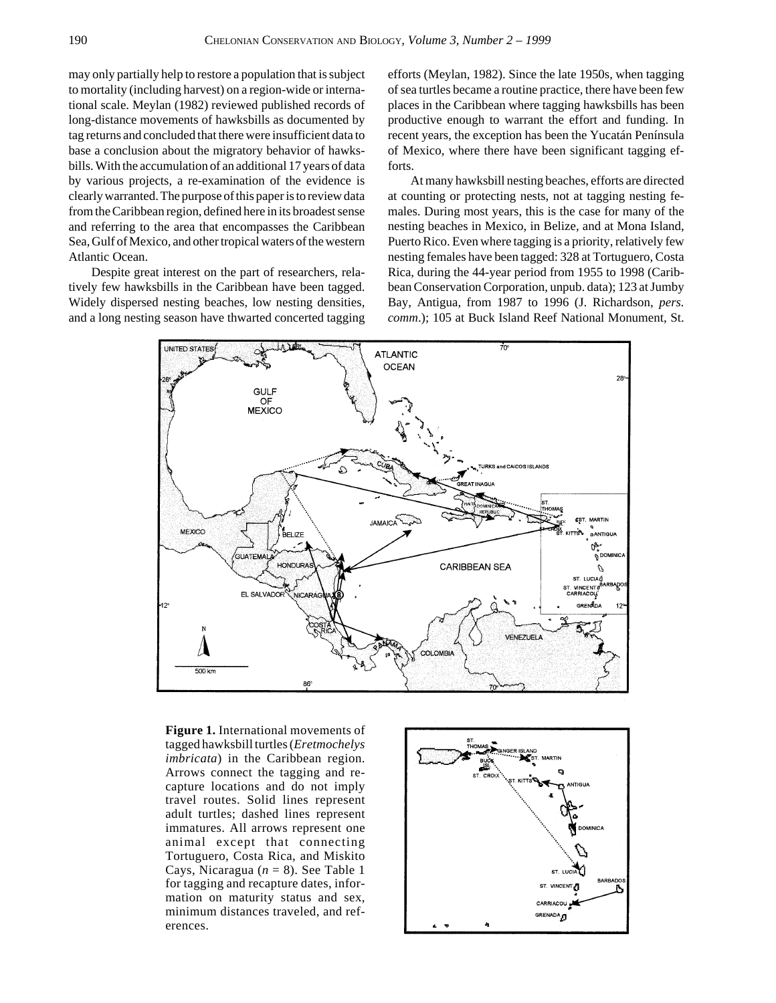may only partially help to restore a population that is subject to mortality (including harvest) on a region-wide or international scale. Meylan (1982) reviewed published records of long-distance movements of hawksbills as documented by tag returns and concluded that there were insufficient data to base a conclusion about the migratory behavior of hawksbills. With the accumulation of an additional 17 years of data by various projects, a re-examination of the evidence is clearly warranted. The purpose of this paper is to review data from the Caribbean region, defined here in its broadest sense and referring to the area that encompasses the Caribbean Sea, Gulf of Mexico, and other tropical waters of the western Atlantic Ocean.

Despite great interest on the part of researchers, relatively few hawksbills in the Caribbean have been tagged. Widely dispersed nesting beaches, low nesting densities, and a long nesting season have thwarted concerted tagging efforts (Meylan, 1982). Since the late 1950s, when tagging of sea turtles became a routine practice, there have been few places in the Caribbean where tagging hawksbills has been productive enough to warrant the effort and funding. In recent years, the exception has been the Yucatán Península of Mexico, where there have been significant tagging efforts.

At many hawksbill nesting beaches, efforts are directed at counting or protecting nests, not at tagging nesting females. During most years, this is the case for many of the nesting beaches in Mexico, in Belize, and at Mona Island, Puerto Rico. Even where tagging is a priority, relatively few nesting females have been tagged: 328 at Tortuguero, Costa Rica, during the 44-year period from 1955 to 1998 (Caribbean Conservation Corporation, unpub. data); 123 at Jumby Bay, Antigua, from 1987 to 1996 (J. Richardson, *pers. comm*.); 105 at Buck Island Reef National Monument, St.



**Figure 1.** International movements of tagged hawksbill turtles (*Eretmochelys imbricata*) in the Caribbean region. Arrows connect the tagging and recapture locations and do not imply travel routes. Solid lines represent adult turtles; dashed lines represent immatures. All arrows represent one animal except that connecting Tortuguero, Costa Rica, and Miskito Cays, Nicaragua ( $n = 8$ ). See Table 1 for tagging and recapture dates, information on maturity status and sex, minimum distances traveled, and references.

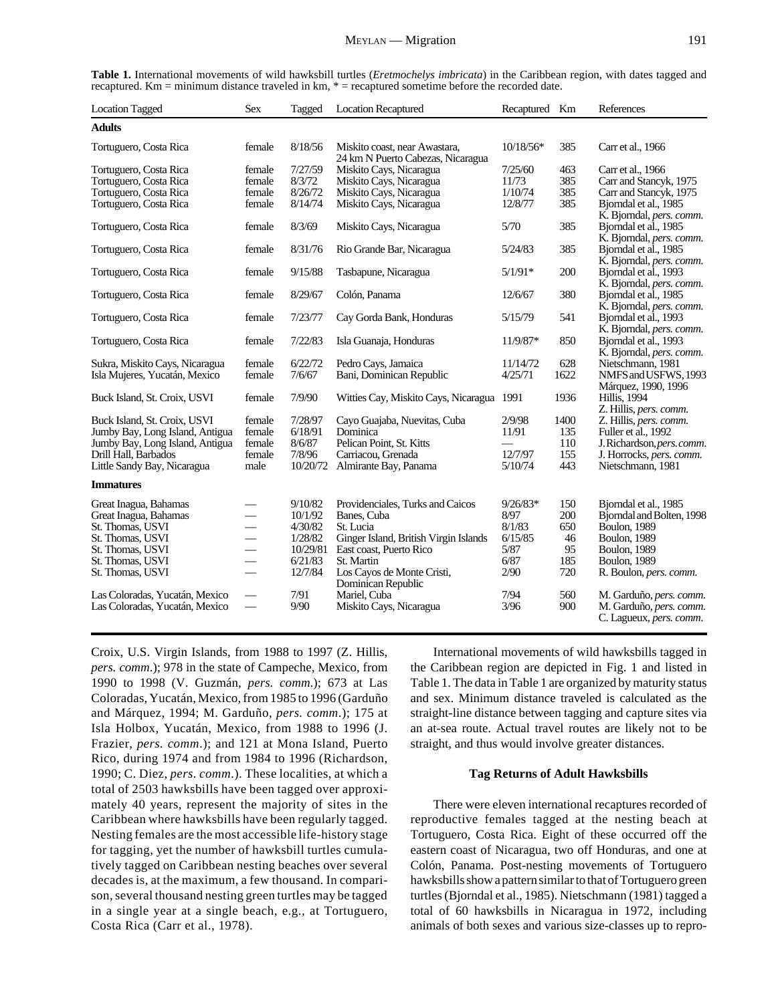| <b>Location Tagged</b>          | <b>Sex</b>               | Tagged   | <b>Location Recaptured</b>                                         | Recaptured Km |      | References                                         |
|---------------------------------|--------------------------|----------|--------------------------------------------------------------------|---------------|------|----------------------------------------------------|
| <b>Adults</b>                   |                          |          |                                                                    |               |      |                                                    |
| Tortuguero, Costa Rica          | female                   | 8/18/56  | Miskito coast, near Awastara,<br>24 km N Puerto Cabezas, Nicaragua | $10/18/56*$   | 385  | Carr et al., 1966                                  |
| Tortuguero, Costa Rica          | female                   | 7/27/59  | Miskito Cays, Nicaragua                                            | 7/25/60       | 463  | Carr et al., 1966                                  |
| Tortuguero, Costa Rica          | female                   | 8/3/72   | Miskito Cays, Nicaragua                                            | 11/73         | 385  | Carr and Stancyk, 1975                             |
| Tortuguero, Costa Rica          | female                   | 8/26/72  | Miskito Cays, Nicaragua                                            | 1/10/74       | 385  | Carr and Stancyk, 1975                             |
| Tortuguero, Costa Rica          | female                   | 8/14/74  | Miskito Cays, Nicaragua                                            | 12/8/77       | 385  | Bjorndal et al., 1985<br>K. Bjorndal, pers. comm.  |
| Tortuguero, Costa Rica          | female                   | 8/3/69   | Miskito Cays, Nicaragua                                            | 5/70          | 385  | Bjorndal et al., 1985<br>K. Bjorndal, pers. comm.  |
| Tortuguero, Costa Rica          | female                   | 8/31/76  | Rio Grande Bar, Nicaragua                                          | 5/24/83       | 385  | Bjorndal et al., 1985<br>K. Bjorndal, pers. comm.  |
| Tortuguero, Costa Rica          | female                   | 9/15/88  | Tasbapune, Nicaragua                                               | $5/1/91*$     | 200  | Bjorndal et al., 1993<br>K. Bjorndal, pers. comm.  |
| Tortuguero, Costa Rica          | female                   | 8/29/67  | Colón, Panama                                                      | 12/6/67       | 380  | Bjorndal et al., 1985<br>K. Bjorndal, pers. comm.  |
| Tortuguero, Costa Rica          | female                   | 7/23/77  | Cay Gorda Bank, Honduras                                           | 5/15/79       | 541  | Bjorndal et al., 1993<br>K. Bjorndal, pers. comm.  |
| Tortuguero, Costa Rica          | female                   | 7/22/83  | Isla Guanaja, Honduras                                             | 11/9/87*      | 850  | Bjorndal et al., 1993<br>K. Bjorndal, pers. comm.  |
| Sukra, Miskito Cays, Nicaragua  | female                   | 6/22/72  | Pedro Cays, Jamaica                                                | 11/14/72      | 628  | Nietschmann, 1981                                  |
| Isla Mujeres, Yucatán, Mexico   | female                   | 7/6/67   | Bani, Dominican Republic                                           | 4/25/71       | 1622 | NMFS and USFWS, 1993<br>Márquez, 1990, 1996        |
| Buck Island, St. Croix, USVI    | female                   | 7/9/90   | Witties Cay, Miskito Cays, Nicaragua 1991                          |               | 1936 | <b>Hillis</b> , 1994<br>Z. Hillis, pers. comm.     |
| Buck Island, St. Croix, USVI    | female                   | 7/28/97  | Cayo Guajaba, Nuevitas, Cuba                                       | 2/9/98        | 1400 | Z. Hillis, pers. comm.                             |
| Jumby Bay, Long Island, Antigua | female                   | 6/18/91  | <b>Dominica</b>                                                    | 11/91         | 135  | Fuller et al., 1992                                |
| Jumby Bay, Long Island, Antigua | female                   | 8/6/87   | Pelican Point, St. Kitts                                           |               | 110  | J.Richardson, pers.comm.                           |
| Drill Hall, Barbados            | female                   | 7/8/96   | Carriacou, Grenada                                                 | 12/7/97       | 155  | J. Horrocks, pers. comm.                           |
| Little Sandy Bay, Nicaragua     | male                     | 10/20/72 | Almirante Bay, Panama                                              | 5/10/74       | 443  | Nietschmann, 1981                                  |
| <b>Immatures</b>                |                          |          |                                                                    |               |      |                                                    |
| Great Inagua, Bahamas           |                          | 9/10/82  | Providenciales, Turks and Caicos                                   | $9/26/83*$    | 150  | Bjorndal et al., 1985                              |
| Great Inagua, Bahamas           | $\overline{\phantom{a}}$ | 10/1/92  | Banes, Cuba                                                        | 8/97          | 200  | Bjorndal and Bolten, 1998                          |
| St. Thomas, USVI                | $\overline{\phantom{0}}$ | 4/30/82  | St. Lucia                                                          | 8/1/83        | 650  | <b>Boulon</b> , 1989                               |
| St. Thomas, USVI                |                          | 1/28/82  | Ginger Island, British Virgin Islands                              | 6/15/85       | 46   | <b>Boulon</b> , 1989                               |
| St. Thomas, USVI                |                          | 10/29/81 | East coast. Puerto Rico                                            | 5/87          | 95   | <b>Boulon, 1989</b>                                |
| St. Thomas, USVI                | $\overline{\phantom{0}}$ | 6/21/83  | St. Martin                                                         | 6/87          | 185  | <b>Boulon</b> , 1989                               |
| St. Thomas, USVI                |                          | 12/7/84  | Los Cayos de Monte Cristi,<br>Dominican Republic                   | 2/90          | 720  | R. Boulon, pers. comm.                             |
| Las Coloradas, Yucatán, Mexico  |                          | 7/91     | Mariel, Cuba                                                       | 7/94          | 560  | M. Garduño, pers. comm.                            |
| Las Coloradas, Yucatán, Mexico  |                          | 9/90     | Miskito Cays, Nicaragua                                            | 3/96          | 900  | M. Garduño, pers. comm.<br>C. Lagueux, pers. comm. |
|                                 |                          |          |                                                                    |               |      |                                                    |

**Table 1.** International movements of wild hawksbill turtles (*Eretmochelys imbricata*) in the Caribbean region, with dates tagged and recaptured. Km = minimum distance traveled in km, \* = recaptured sometime before the recorded date.

Croix, U.S. Virgin Islands, from 1988 to 1997 (Z. Hillis, *pers. comm*.); 978 in the state of Campeche, Mexico, from 1990 to 1998 (V. Guzmán, *pers. comm*.); 673 at Las Coloradas, Yucatán, Mexico, from 1985 to 1996 (Garduño and Márquez, 1994; M. Garduño, *pers. comm*.); 175 at Isla Holbox, Yucatán, Mexico, from 1988 to 1996 (J. Frazier, *pers. comm*.); and 121 at Mona Island, Puerto Rico, during 1974 and from 1984 to 1996 (Richardson, 1990; C. Diez, *pers. comm*.). These localities, at which a total of 2503 hawksbills have been tagged over approximately 40 years, represent the majority of sites in the Caribbean where hawksbills have been regularly tagged. Nesting females are the most accessible life-history stage for tagging, yet the number of hawksbill turtles cumulatively tagged on Caribbean nesting beaches over several decades is, at the maximum, a few thousand. In comparison, several thousand nesting green turtles may be tagged in a single year at a single beach, e.g., at Tortuguero, Costa Rica (Carr et al., 1978).

International movements of wild hawksbills tagged in the Caribbean region are depicted in Fig. 1 and listed in Table 1. The data in Table 1 are organized by maturity status and sex. Minimum distance traveled is calculated as the straight-line distance between tagging and capture sites via an at-sea route. Actual travel routes are likely not to be straight, and thus would involve greater distances.

#### **Tag Returns of Adult Hawksbills**

There were eleven international recaptures recorded of reproductive females tagged at the nesting beach at Tortuguero, Costa Rica. Eight of these occurred off the eastern coast of Nicaragua, two off Honduras, and one at Colón, Panama. Post-nesting movements of Tortuguero hawksbills show a pattern similar to that of Tortuguero green turtles (Bjorndal et al., 1985). Nietschmann (1981) tagged a total of 60 hawksbills in Nicaragua in 1972, including animals of both sexes and various size-classes up to repro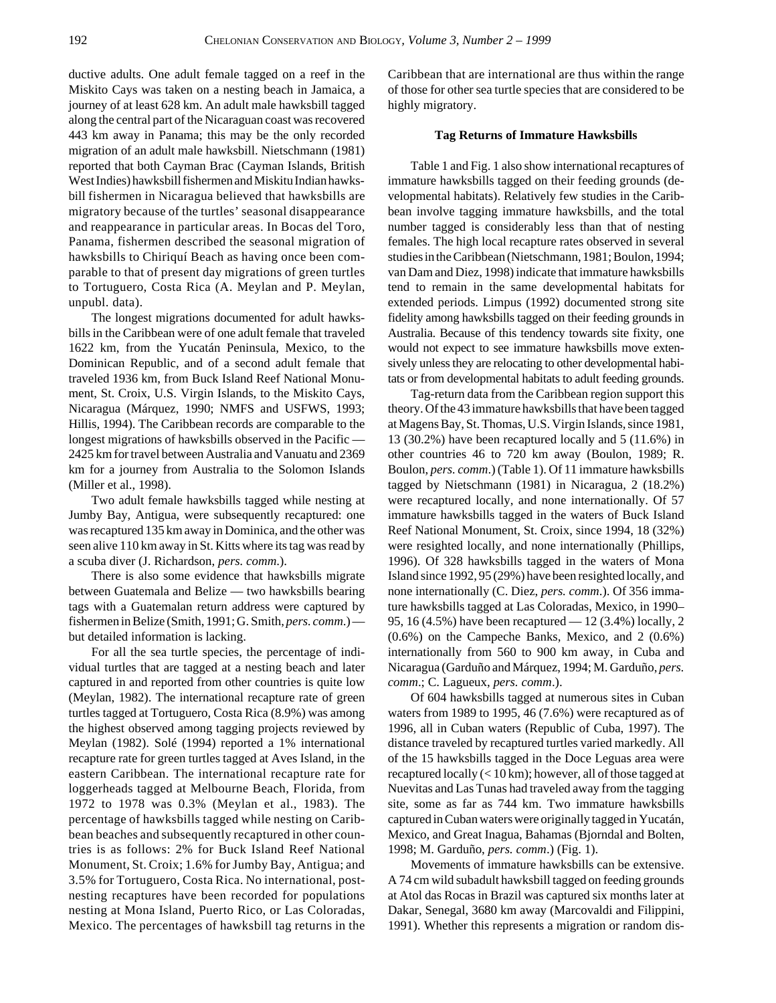ductive adults. One adult female tagged on a reef in the Miskito Cays was taken on a nesting beach in Jamaica, a journey of at least 628 km. An adult male hawksbill tagged along the central part of the Nicaraguan coast was recovered 443 km away in Panama; this may be the only recorded migration of an adult male hawksbill. Nietschmann (1981) reported that both Cayman Brac (Cayman Islands, British West Indies) hawksbill fishermen and Miskitu Indian hawksbill fishermen in Nicaragua believed that hawksbills are migratory because of the turtles' seasonal disappearance and reappearance in particular areas. In Bocas del Toro, Panama, fishermen described the seasonal migration of hawksbills to Chiriquí Beach as having once been comparable to that of present day migrations of green turtles to Tortuguero, Costa Rica (A. Meylan and P. Meylan, unpubl. data).

The longest migrations documented for adult hawksbills in the Caribbean were of one adult female that traveled 1622 km, from the Yucatán Peninsula, Mexico, to the Dominican Republic, and of a second adult female that traveled 1936 km, from Buck Island Reef National Monument, St. Croix, U.S. Virgin Islands, to the Miskito Cays, Nicaragua (Márquez, 1990; NMFS and USFWS, 1993; Hillis, 1994). The Caribbean records are comparable to the longest migrations of hawksbills observed in the Pacific — 2425 km for travel between Australia and Vanuatu and 2369 km for a journey from Australia to the Solomon Islands (Miller et al., 1998).

Two adult female hawksbills tagged while nesting at Jumby Bay, Antigua, were subsequently recaptured: one was recaptured 135 km away in Dominica, and the other was seen alive 110 km away in St. Kitts where its tag was read by a scuba diver (J. Richardson, *pers. comm*.).

There is also some evidence that hawksbills migrate between Guatemala and Belize — two hawksbills bearing tags with a Guatemalan return address were captured by fishermen in Belize (Smith, 1991; G. Smith, *pers. comm*.) but detailed information is lacking.

For all the sea turtle species, the percentage of individual turtles that are tagged at a nesting beach and later captured in and reported from other countries is quite low (Meylan, 1982). The international recapture rate of green turtles tagged at Tortuguero, Costa Rica (8.9%) was among the highest observed among tagging projects reviewed by Meylan (1982). Solé (1994) reported a 1% international recapture rate for green turtles tagged at Aves Island, in the eastern Caribbean. The international recapture rate for loggerheads tagged at Melbourne Beach, Florida, from 1972 to 1978 was 0.3% (Meylan et al., 1983). The percentage of hawksbills tagged while nesting on Caribbean beaches and subsequently recaptured in other countries is as follows: 2% for Buck Island Reef National Monument, St. Croix; 1.6% for Jumby Bay, Antigua; and 3.5% for Tortuguero, Costa Rica. No international, postnesting recaptures have been recorded for populations nesting at Mona Island, Puerto Rico, or Las Coloradas, Mexico. The percentages of hawksbill tag returns in the

Caribbean that are international are thus within the range of those for other sea turtle species that are considered to be highly migratory.

#### **Tag Returns of Immature Hawksbills**

Table 1 and Fig. 1 also show international recaptures of immature hawksbills tagged on their feeding grounds (developmental habitats). Relatively few studies in the Caribbean involve tagging immature hawksbills, and the total number tagged is considerably less than that of nesting females. The high local recapture rates observed in several studies in the Caribbean (Nietschmann, 1981; Boulon, 1994; van Dam and Diez, 1998) indicate that immature hawksbills tend to remain in the same developmental habitats for extended periods. Limpus (1992) documented strong site fidelity among hawksbills tagged on their feeding grounds in Australia. Because of this tendency towards site fixity, one would not expect to see immature hawksbills move extensively unless they are relocating to other developmental habitats or from developmental habitats to adult feeding grounds.

Tag-return data from the Caribbean region support this theory. Of the 43 immature hawksbills that have been tagged at Magens Bay, St. Thomas, U.S. Virgin Islands, since 1981, 13 (30.2%) have been recaptured locally and 5 (11.6%) in other countries 46 to 720 km away (Boulon, 1989; R. Boulon, *pers. comm*.) (Table 1). Of 11 immature hawksbills tagged by Nietschmann (1981) in Nicaragua, 2 (18.2%) were recaptured locally, and none internationally. Of 57 immature hawksbills tagged in the waters of Buck Island Reef National Monument, St. Croix, since 1994, 18 (32%) were resighted locally, and none internationally (Phillips, 1996). Of 328 hawksbills tagged in the waters of Mona Island since 1992, 95 (29%) have been resighted locally, and none internationally (C. Diez, *pers. comm*.). Of 356 immature hawksbills tagged at Las Coloradas, Mexico, in 1990– 95, 16 (4.5%) have been recaptured — 12 (3.4%) locally, 2 (0.6%) on the Campeche Banks, Mexico, and 2 (0.6%) internationally from 560 to 900 km away, in Cuba and Nicaragua (Garduño and Márquez, 1994; M. Garduño, *pers. comm*.; C. Lagueux, *pers. comm*.).

Of 604 hawksbills tagged at numerous sites in Cuban waters from 1989 to 1995, 46 (7.6%) were recaptured as of 1996, all in Cuban waters (Republic of Cuba, 1997). The distance traveled by recaptured turtles varied markedly. All of the 15 hawksbills tagged in the Doce Leguas area were recaptured locally (< 10 km); however, all of those tagged at Nuevitas and Las Tunas had traveled away from the tagging site, some as far as 744 km. Two immature hawksbills captured in Cuban waters were originally tagged in Yucatán, Mexico, and Great Inagua, Bahamas (Bjorndal and Bolten, 1998; M. Garduño, *pers. comm*.) (Fig. 1).

Movements of immature hawksbills can be extensive. A 74 cm wild subadult hawksbill tagged on feeding grounds at Atol das Rocas in Brazil was captured six months later at Dakar, Senegal, 3680 km away (Marcovaldi and Filippini, 1991). Whether this represents a migration or random dis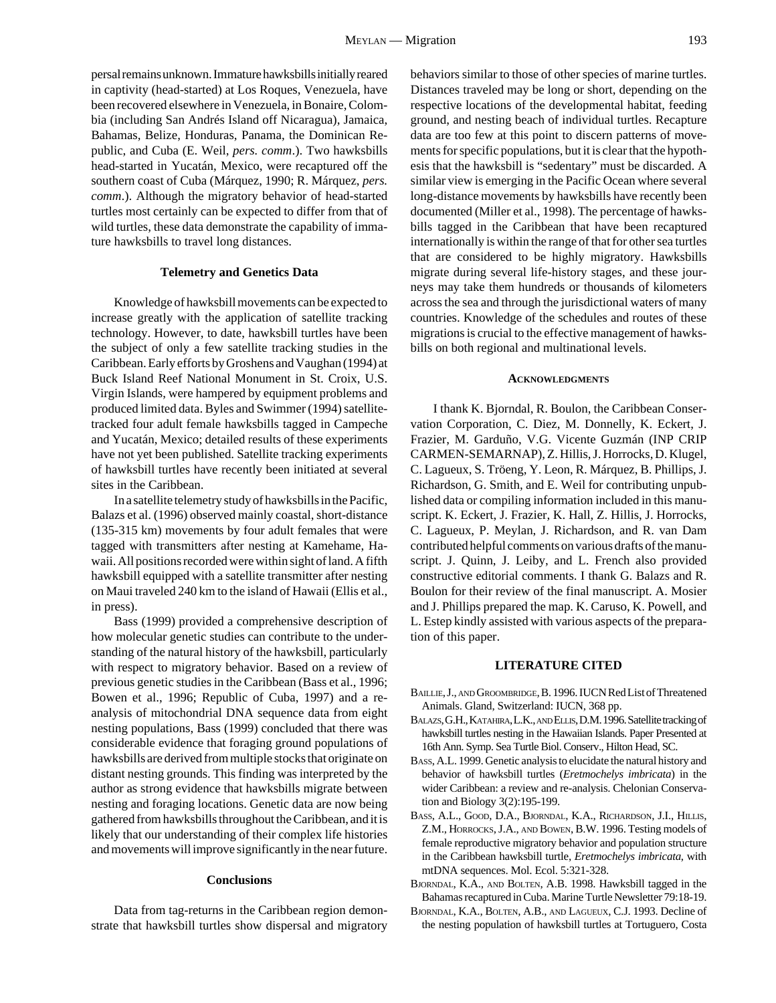persal remains unknown. Immature hawksbills initially reared in captivity (head-started) at Los Roques, Venezuela, have been recovered elsewhere in Venezuela, in Bonaire, Colombia (including San Andrés Island off Nicaragua), Jamaica, Bahamas, Belize, Honduras, Panama, the Dominican Republic, and Cuba (E. Weil, *pers. comm*.). Two hawksbills head-started in Yucatán, Mexico, were recaptured off the southern coast of Cuba (Márquez, 1990; R. Márquez, *pers. comm*.). Although the migratory behavior of head-started turtles most certainly can be expected to differ from that of wild turtles, these data demonstrate the capability of immature hawksbills to travel long distances.

#### **Telemetry and Genetics Data**

Knowledge of hawksbill movements can be expected to increase greatly with the application of satellite tracking technology. However, to date, hawksbill turtles have been the subject of only a few satellite tracking studies in the Caribbean. Early efforts by Groshens and Vaughan (1994) at Buck Island Reef National Monument in St. Croix, U.S. Virgin Islands, were hampered by equipment problems and produced limited data. Byles and Swimmer (1994) satellitetracked four adult female hawksbills tagged in Campeche and Yucatán, Mexico; detailed results of these experiments have not yet been published. Satellite tracking experiments of hawksbill turtles have recently been initiated at several sites in the Caribbean.

In a satellite telemetry study of hawksbills in the Pacific, Balazs et al. (1996) observed mainly coastal, short-distance (135-315 km) movements by four adult females that were tagged with transmitters after nesting at Kamehame, Hawaii. All positions recorded were within sight of land. A fifth hawksbill equipped with a satellite transmitter after nesting on Maui traveled 240 km to the island of Hawaii (Ellis et al., in press).

Bass (1999) provided a comprehensive description of how molecular genetic studies can contribute to the understanding of the natural history of the hawksbill, particularly with respect to migratory behavior. Based on a review of previous genetic studies in the Caribbean (Bass et al., 1996; Bowen et al., 1996; Republic of Cuba, 1997) and a reanalysis of mitochondrial DNA sequence data from eight nesting populations, Bass (1999) concluded that there was considerable evidence that foraging ground populations of hawksbills are derived from multiple stocks that originate on distant nesting grounds. This finding was interpreted by the author as strong evidence that hawksbills migrate between nesting and foraging locations. Genetic data are now being gathered from hawksbills throughout the Caribbean, and it is likely that our understanding of their complex life histories and movements will improve significantly in the near future.

#### **Conclusions**

Data from tag-returns in the Caribbean region demonstrate that hawksbill turtles show dispersal and migratory behaviors similar to those of other species of marine turtles. Distances traveled may be long or short, depending on the respective locations of the developmental habitat, feeding ground, and nesting beach of individual turtles. Recapture data are too few at this point to discern patterns of movements for specific populations, but it is clear that the hypothesis that the hawksbill is "sedentary" must be discarded. A similar view is emerging in the Pacific Ocean where several long-distance movements by hawksbills have recently been documented (Miller et al., 1998). The percentage of hawksbills tagged in the Caribbean that have been recaptured internationally is within the range of that for other sea turtles that are considered to be highly migratory. Hawksbills migrate during several life-history stages, and these journeys may take them hundreds or thousands of kilometers across the sea and through the jurisdictional waters of many countries. Knowledge of the schedules and routes of these migrations is crucial to the effective management of hawksbills on both regional and multinational levels.

#### **ACKNOWLEDGMENTS**

I thank K. Bjorndal, R. Boulon, the Caribbean Conservation Corporation, C. Diez, M. Donnelly, K. Eckert, J. Frazier, M. Garduño, V.G. Vicente Guzmán (INP CRIP CARMEN-SEMARNAP), Z. Hillis, J. Horrocks, D. Klugel, C. Lagueux, S. Tröeng, Y. Leon, R. Márquez, B. Phillips, J. Richardson, G. Smith, and E. Weil for contributing unpublished data or compiling information included in this manuscript. K. Eckert, J. Frazier, K. Hall, Z. Hillis, J. Horrocks, C. Lagueux, P. Meylan, J. Richardson, and R. van Dam contributed helpful comments on various drafts of the manuscript. J. Quinn, J. Leiby, and L. French also provided constructive editorial comments. I thank G. Balazs and R. Boulon for their review of the final manuscript. A. Mosier and J. Phillips prepared the map. K. Caruso, K. Powell, and L. Estep kindly assisted with various aspects of the preparation of this paper.

### **LITERATURE CITED**

- BAILLIE, J., AND GROOMBRIDGE, B. 1996. IUCN Red List of Threatened Animals. Gland, Switzerland: IUCN, 368 pp.
- BALAZS, G.H., KATAHIRA, L.K., AND ELLIS, D.M. 1996. Satellite tracking of hawksbill turtles nesting in the Hawaiian Islands. Paper Presented at 16th Ann. Symp. Sea Turtle Biol. Conserv., Hilton Head, SC.
- BASS, A.L. 1999. Genetic analysis to elucidate the natural history and behavior of hawksbill turtles (*Eretmochelys imbricata*) in the wider Caribbean: a review and re-analysis. Chelonian Conservation and Biology 3(2):195-199.
- BASS, A.L., GOOD, D.A., BJORNDAL, K.A., RICHARDSON, J.I., HILLIS, Z.M., HORROCKS, J.A., AND BOWEN, B.W. 1996. Testing models of female reproductive migratory behavior and population structure in the Caribbean hawksbill turtle, *Eretmochelys imbricata*, with mtDNA sequences. Mol. Ecol. 5:321-328.
- BJORNDAL, K.A., AND BOLTEN, A.B. 1998. Hawksbill tagged in the Bahamas recaptured in Cuba. Marine Turtle Newsletter 79:18-19.
- BJORNDAL, K.A., BOLTEN, A.B., AND LAGUEUX, C.J. 1993. Decline of the nesting population of hawksbill turtles at Tortuguero, Costa